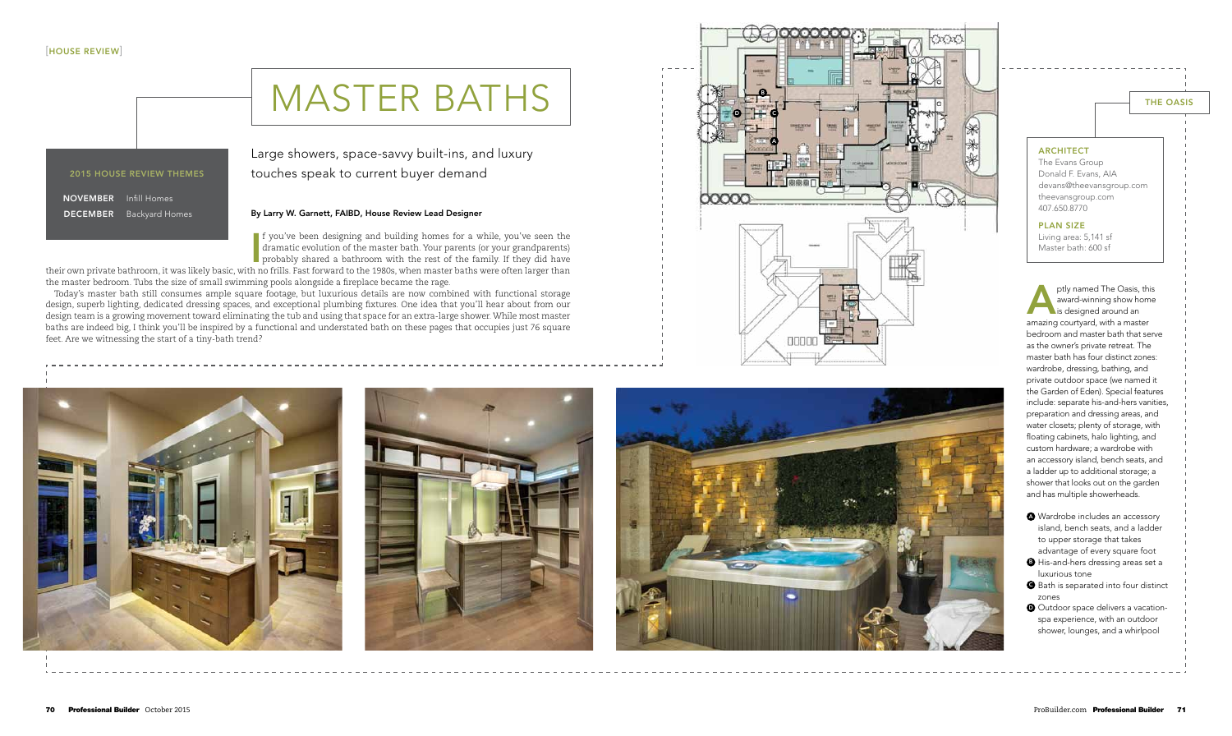#### By Larry W. Garnett, FAIBD, House Review Lead Designer

If you've been designing and building homes for a while, you've seen the dramatic evolution of the master bath. Your parents (or your grandparents) probably shared a bathroom with the rest of the family. If they did have t dramatic evolution of the master bath. Your parents (or your grandparents) probably shared a bathroom with the rest of the family. If they did have

## Large showers, space-savvy built-ins, and luxury touches speak to current buyer demand

their own private bathroom, it was likely basic, with no frills. Fast forward to the 1980s, when master baths were often larger than the master bedroom. Tubs the size of small swimming pools alongside a fireplace became the rage.

Today's master bath still consumes ample square footage, but luxurious details are now combined with functional storage design, superb lighting, dedicated dressing spaces, and exceptional plumbing fixtures. One idea that you'll hear about from our design team is a growing movement toward eliminating the tub and using that space for an extra-large shower. While most master baths are indeed big, I think you'll be inspired by a functional and understated bath on these pages that occupies just 76 square feet. Are we witnessing the start of a tiny-bath trend?





ptly named The Oasis,<br>award-winning show ho<br>is designed around an ptly named The Oasis, this award-winning show home amazing courtyard, with a master bedroom and master bath that serve as the owner's private retreat. The master bath has four distinct zones: wardrobe, dressing, bathing, and private outdoor space (we named it the Garden of Eden). Special features include: separate his-and-hers vanities, preparation and dressing areas, and water closets; plenty of storage, with floating cabinets, halo lighting, and custom hardware; a wardrobe with an accessory island, bench seats, and a ladder up to additional storage; a shower that looks out on the garden and has multiple showerheads.

- **4** Wardrobe includes an accessory island, bench seats, and a ladder to upper storage that takes advantage of every square foot
- **B** His-and-hers dressing areas set a luxurious tone
- **G** Bath is separated into four distinct zones
- **O** Outdoor space delivers a vacationspa experience, with an outdoor shower, lounges, and a whirlpool

# master baths

#### 2015 HOUSE REVIEW THEMES

NOVEMBER Infill Homes b **DECEMBER** Backyard Homes l

The Evans Group Donald F. Evans, A I A devans@theevansgroup.com theevansgroup.com 407.650.8770

#### PLAN SIZ E

Living area: 5,141 sf Master bath: 600 sf







### THE OASIS

#### **ARCHITECT**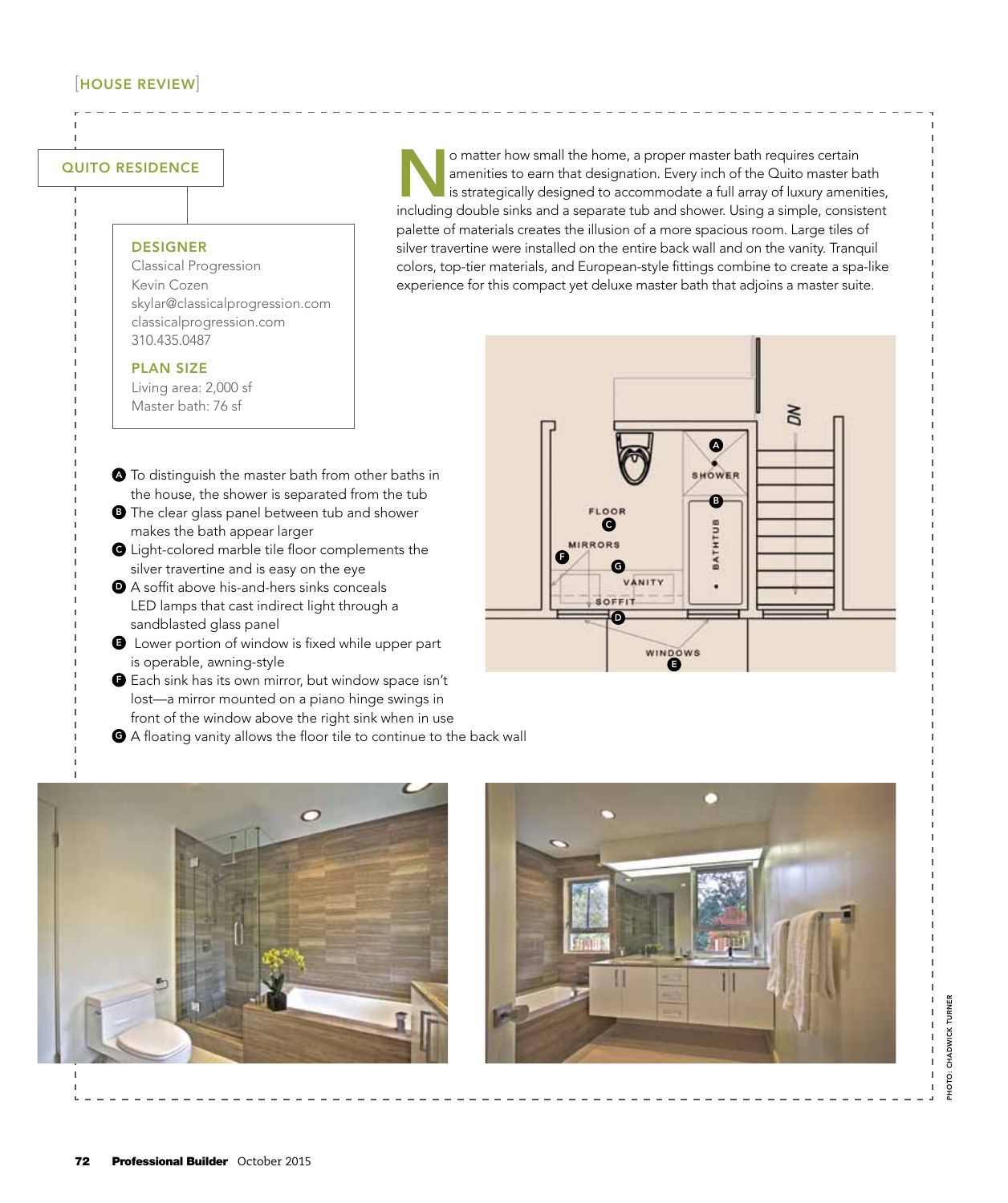### [house review]

#### QUITO RESIDENCE

#### **DESIGNER**

Classical Progression Kevin Cozen skylar@classicalprogression.com classicalprogression.com 310.435.0487

#### PLAN SIZE

Living area: 2,000 sf Master bath: 76 sf

- $\bullet$  To distinguish the master bath from other baths in the house, the shower is separated from the tub
- **D** The clear glass panel between tub and shower makes the bath appear larger
- **Q** Light-colored marble tile floor complements the silver travertine and is easy on the eye
- <sup>d</sup> A soffit above his-and-hers sinks conceals LED lamps that cast indirect light through a sandblasted glass panel
- $\bigoplus$  Lower portion of window is fixed while upper part is operable, awning-style
- **O** Each sink has its own mirror, but window space isn't lost—a mirror mounted on a piano hinge swings in front of the window above the right sink when in use
- **G** A floating vanity allows the floor tile to continue to the back wall

O matter how small the home, a proper master bath requires certain<br>amenities to earn that designation. Every inch of the Quito master bath<br>is strategically designed to accommodate a full array of luxury ameni<br>including dou amenities to earn that designation. Every inch of the Quito master bath is strategically designed to accommodate a full array of luxury amenities, including double sinks and a separate tub and shower. Using a simple, consistent palette of materials creates the illusion of a more spacious room. Large tiles of silver travertine were installed on the entire back wall and on the vanity. Tranquil colors, top-tier materials, and European-style fittings combine to create a spa-like experience for this compact yet deluxe master bath that adjoins a master suite.





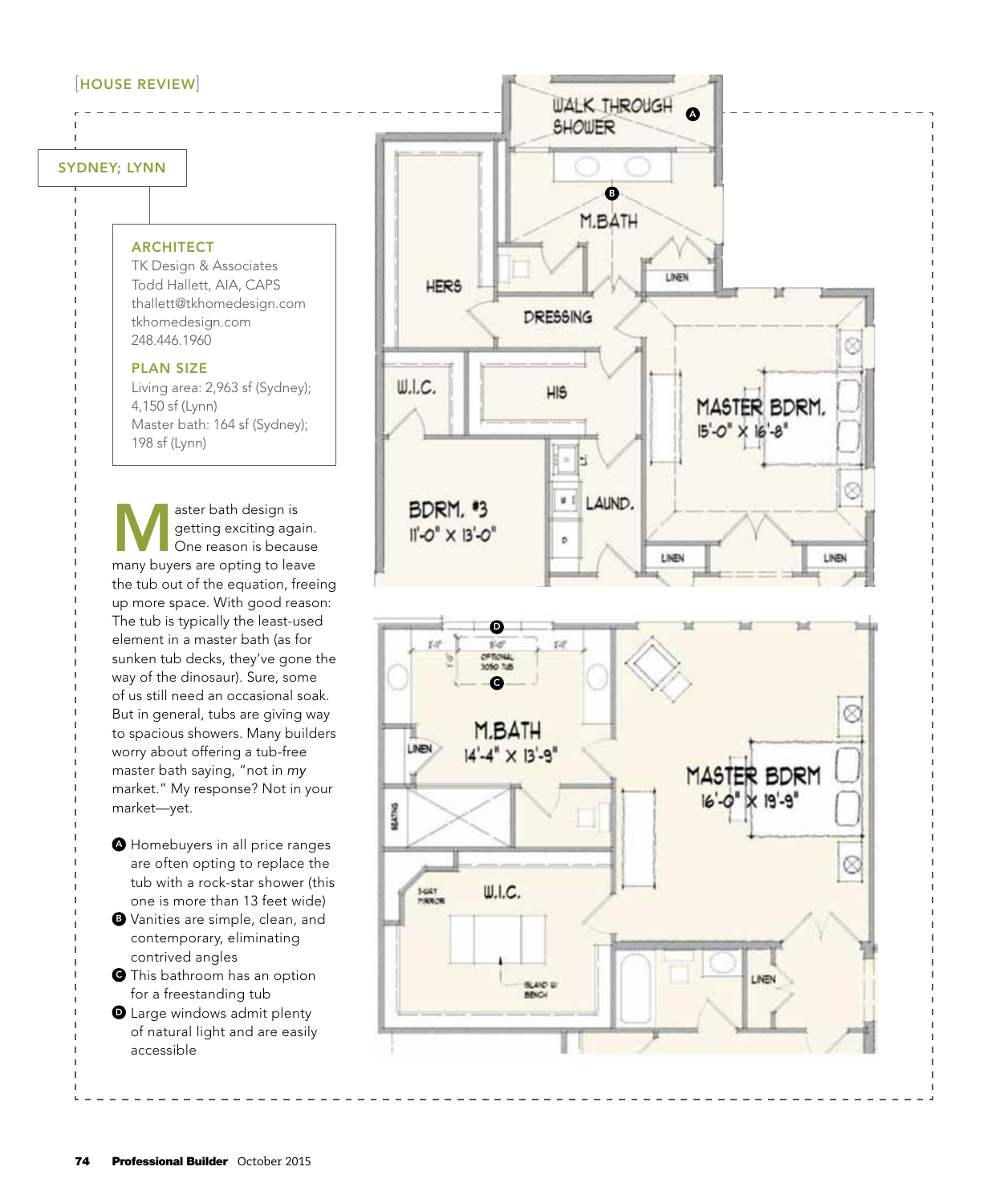## sydney; Lynn

#### **ARCHITECT**

TK Design & Associates Todd Hallett, A I A, C A P S thallett@tkhomedesign.com tkhomedesign.com 248.446.1960

#### PLAN SIZ E

Living area: 2,963 sf ( Sydney); 4,150 sf (Lynn) Master bath: 164 sf ( Sydney); 198 sf (Lynn)

(HOUSE REVIEW)<br>
INVEY; LYNN<br>
TK Design & Associates<br>
TK Design & Associates<br>
TK Design & Associates<br>
Total Hallett (AIA, CAPS<br>
thiomedesign.com<br>
thromedesign.com<br>
248.446.1960<br>
PLAN SIZE<br>
Living area: 2,963 sf (Sydney);<br>
4 aster bath design is<br>
getting exciting aga<br>
One reason is becau<br>
many buyers are opting to loop getting exciting again. One reason is because many buyers are opting to leave the tub out of the equation, freeing up more space. With good reason: The tub is typically the least-used element in a master bath (as for sunken tub decks, they've gone the way of the dinosaur). Sure, some of us still need an occasional soak. But in general, tubs are giving way to spacious showers. Many builders worry about offering a tub-free master bath saying, "not in *my* market." My response? Not in your market—yet.

- <sup>a</sup> Homebuyers in all price ranges are often opting to replace the tub with a rock-star shower (this one is more than 13 feet wide)
- **B** Vanities are simple, clean, and contemporary, eliminating contrived angles
- **O** This bathroom has an option for a freestanding tub
- **O** Large windows admit plenty of natural light and are easily accessible



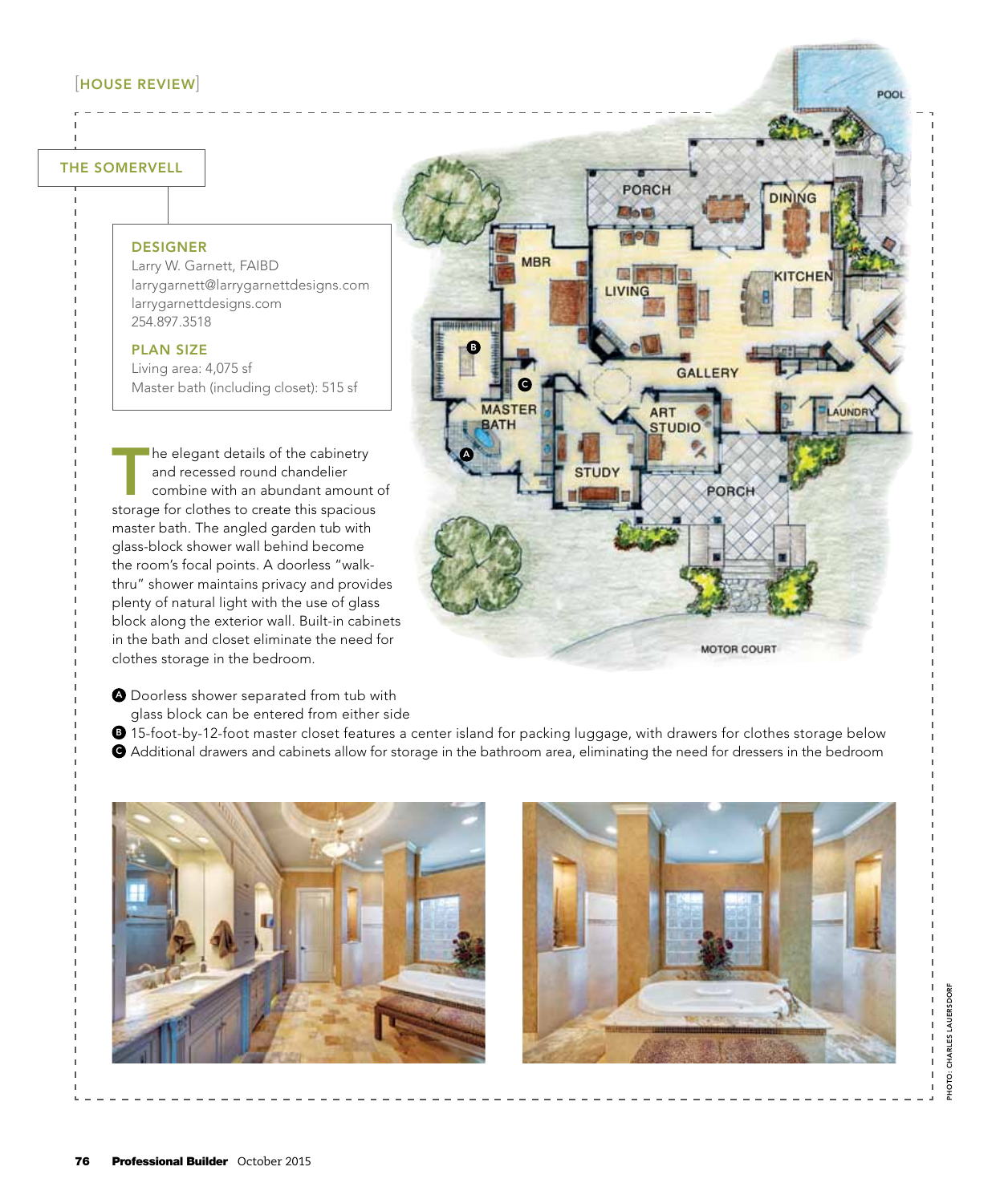### [house review]

#### The Somervell

#### DESIGNER

Larry W. Garnett, FAIBD larrygarnett@larrygarnettdesigns.com larrygarnettdesigns.com 254.897.3518

#### PLAN SIZE

Living area: 4,075 sf Master bath (including closet): 515 sf

The elegant details of the cabinetry and recessed round chandelier combine with an abundant amount of storage for clothes to create this spacious master bath. The angled garden tub with glass-block shower wall behind become the room's focal points. A doorless "walkthru" shower maintains privacy and provides plenty of natural light with the use of glass block along the exterior wall. Built-in cabinets in the bath and closet eliminate the need for clothes storage in the bedroom.

- **A** Doorless shower separated from tub with glass block can be entered from either side
- $\bullet$  15-foot-by-12-foot master closet features a center island for packing luggage, with drawers for clothes storage below
- <sup>c</sup> Additional drawers and cabinets allow for storage in the bathroom area, eliminating the need for dressers in the bedroom

a

l

c

BATH

**MBR** 

**PORCH** 

**GALLERY** 

PORCH

MOTOR COURT

ART

**STUDIO** 

**Elle to** 







POOL

**DINING**